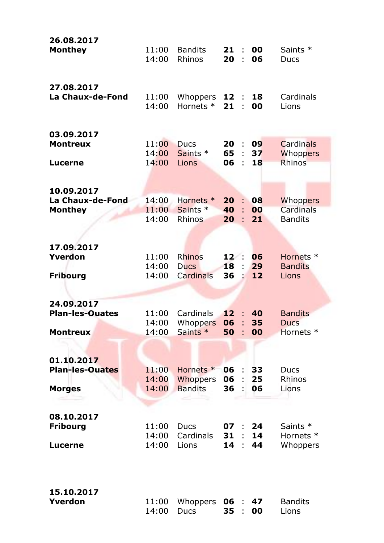| 26.08.2017<br><b>Monthey</b>                    | 11:00<br>14:00          | <b>Bandits</b><br>Rhinos          | 21<br>÷<br>20<br>t  | 00<br>06       | Saints *<br><b>Ducs</b>           |
|-------------------------------------------------|-------------------------|-----------------------------------|---------------------|----------------|-----------------------------------|
| 27.08.2017                                      | 11:00                   | Whoppers                          | 12                  | 18             | Cardinals                         |
| La Chaux-de-Fond                                | 14:00                   | Hornets <sup>*</sup>              | 21                  | 00             | Lions                             |
| 03.09.2017                                      | 11:00                   | <b>Ducs</b>                       | 20                  | 09             | <b>Cardinals</b>                  |
| <b>Montreux</b>                                 | 14:00                   | Saints *                          | 65                  | 37             | <b>Whoppers</b>                   |
| <b>Lucerne</b>                                  | 14:00                   | Lions                             | 06                  | 18             | Rhinos                            |
| 10.09.2017                                      | 14:00                   | Hornets <sup>*</sup>              | 20                  | 08             | <b>Whoppers</b>                   |
| La Chaux-de-Fond                                | 11:00                   | Saints *                          | 40                  | 00             | <b>Cardinals</b>                  |
| <b>Monthey</b>                                  | 14:00                   | Rhinos                            | 20                  | 21             | <b>Bandits</b>                    |
| 17.09.2017                                      | 11:00                   | <b>Rhinos</b>                     | 12:                 | 06             | Hornets *                         |
| Yverdon                                         | 14:00                   | <b>Ducs</b>                       | 18                  | 29             | <b>Bandits</b>                    |
| <b>Fribourg</b>                                 | 14:00                   | Cardinals                         | 36                  | 12             | Lions                             |
| 24.09.2017                                      | 11:00                   | Cardinals                         | 12                  | 40             | <b>Bandits</b>                    |
| <b>Plan-les-Ouates</b>                          | 14:00                   | Whoppers                          | 06                  | 35             | <b>Ducs</b>                       |
| <b>Montreux</b>                                 | 14:00                   | Saints *                          | 50                  | 00             | Hornets *                         |
| 01.10.2017                                      | 11:00                   | Hornets <sup>*</sup>              | 06                  | 33             | <b>Ducs</b>                       |
| <b>Plan-les-Ouates</b>                          | 14:00                   | <b>Whoppers</b>                   | 06                  | 25             | Rhinos                            |
| <b>Morges</b>                                   | 14:00                   | <b>Bandits</b>                    | 36                  | 06             | Lions                             |
| 08.10.2017<br><b>Fribourg</b><br><b>Lucerne</b> | 11:00<br>14:00<br>14:00 | <b>Ducs</b><br>Cardinals<br>Lions | 07<br>31<br>14<br>÷ | 24<br>14<br>44 | Saints *<br>Hornets *<br>Whoppers |
| 15.10.2017                                      | 11:00                   | Whoppers                          | 06                  | 47             | <b>Bandits</b>                    |
| Yverdon                                         | 14:00                   | <b>Ducs</b>                       | 35                  | 00             | Lions                             |